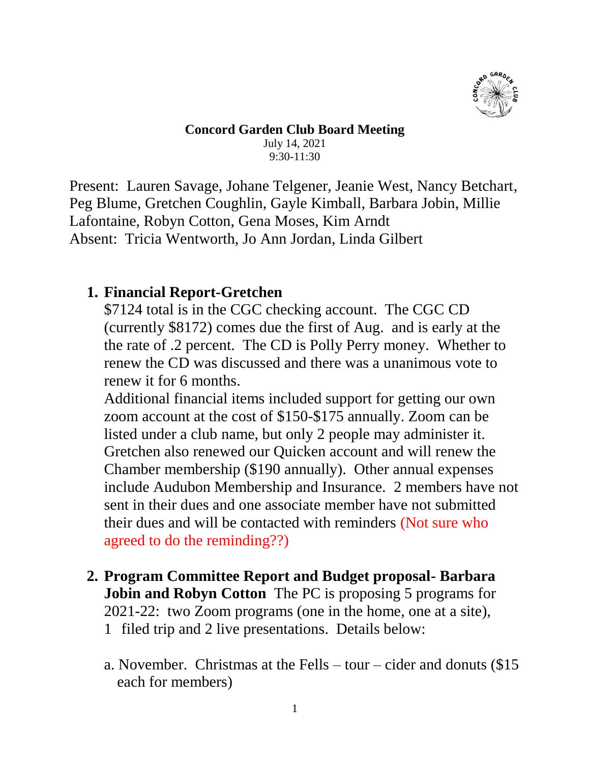

#### **Concord Garden Club Board Meeting**

July 14, 2021 9:30-11:30

Present: Lauren Savage, Johane Telgener, Jeanie West, Nancy Betchart, Peg Blume, Gretchen Coughlin, Gayle Kimball, Barbara Jobin, Millie Lafontaine, Robyn Cotton, Gena Moses, Kim Arndt Absent: Tricia Wentworth, Jo Ann Jordan, Linda Gilbert

## **1. Financial Report-Gretchen**

\$7124 total is in the CGC checking account. The CGC CD (currently \$8172) comes due the first of Aug. and is early at the the rate of .2 percent. The CD is Polly Perry money. Whether to renew the CD was discussed and there was a unanimous vote to renew it for 6 months.

Additional financial items included support for getting our own zoom account at the cost of \$150-\$175 annually. Zoom can be listed under a club name, but only 2 people may administer it. Gretchen also renewed our Quicken account and will renew the Chamber membership (\$190 annually). Other annual expenses include Audubon Membership and Insurance. 2 members have not sent in their dues and one associate member have not submitted their dues and will be contacted with reminders (Not sure who agreed to do the reminding??)

- **2. Program Committee Report and Budget proposal- Barbara Jobin and Robyn Cotton** The PC is proposing 5 programs for 2021-22: two Zoom programs (one in the home, one at a site), 1 filed trip and 2 live presentations. Details below:
	- a. November. Christmas at the Fells tour cider and donuts (\$15 each for members)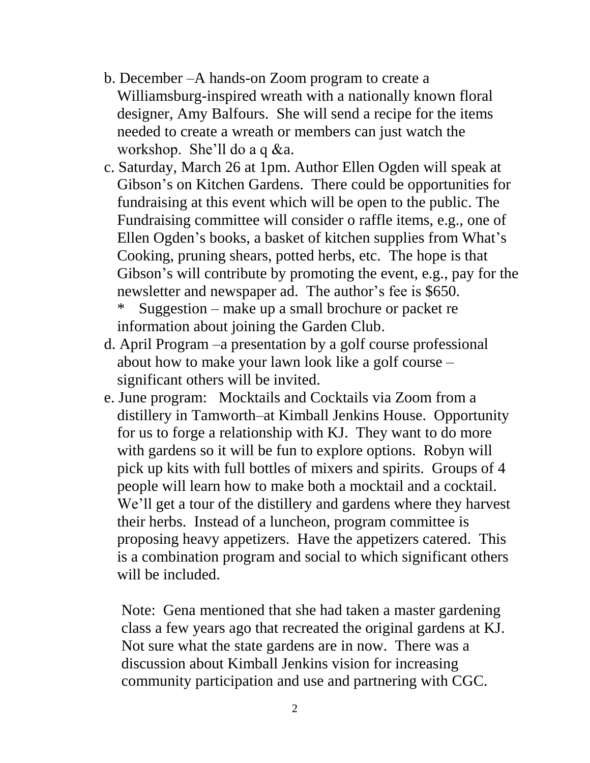- b. December –A hands-on Zoom program to create a Williamsburg-inspired wreath with a nationally known floral designer, Amy Balfours. She will send a recipe for the items needed to create a wreath or members can just watch the workshop. She'll do a q &a.
- c. Saturday, March 26 at 1pm. Author Ellen Ogden will speak at Gibson's on Kitchen Gardens. There could be opportunities for fundraising at this event which will be open to the public. The Fundraising committee will consider o raffle items, e.g., one of Ellen Ogden's books, a basket of kitchen supplies from What's Cooking, pruning shears, potted herbs, etc. The hope is that Gibson's will contribute by promoting the event, e.g., pay for the newsletter and newspaper ad. The author's fee is \$650.
	- \* Suggestion make up a small brochure or packet re information about joining the Garden Club.
- d. April Program –a presentation by a golf course professional about how to make your lawn look like a golf course – significant others will be invited.
- e. June program: Mocktails and Cocktails via Zoom from a distillery in Tamworth–at Kimball Jenkins House. Opportunity for us to forge a relationship with KJ. They want to do more with gardens so it will be fun to explore options. Robyn will pick up kits with full bottles of mixers and spirits. Groups of 4 people will learn how to make both a mocktail and a cocktail. We'll get a tour of the distillery and gardens where they harvest their herbs. Instead of a luncheon, program committee is proposing heavy appetizers. Have the appetizers catered. This is a combination program and social to which significant others will be included.

Note: Gena mentioned that she had taken a master gardening class a few years ago that recreated the original gardens at KJ. Not sure what the state gardens are in now. There was a discussion about Kimball Jenkins vision for increasing community participation and use and partnering with CGC.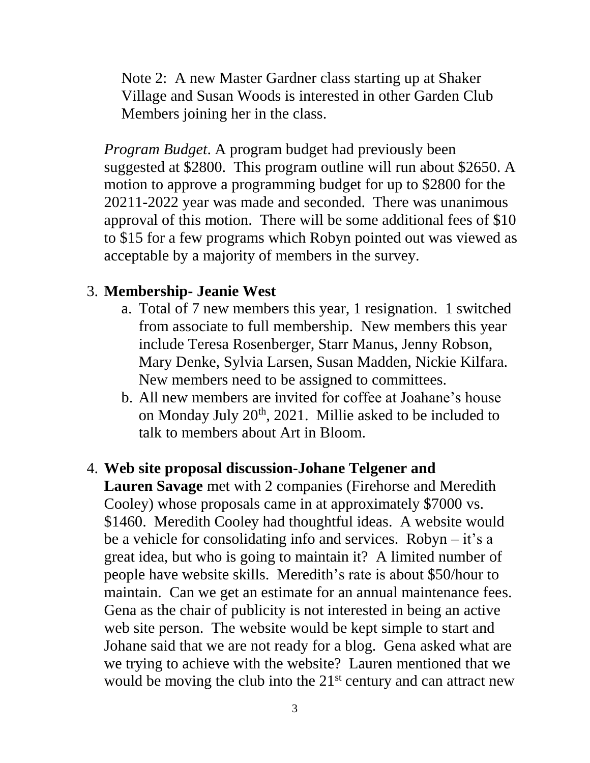Note 2: A new Master Gardner class starting up at Shaker Village and Susan Woods is interested in other Garden Club Members joining her in the class.

*Program Budget*. A program budget had previously been suggested at \$2800. This program outline will run about \$2650. A motion to approve a programming budget for up to \$2800 for the 20211-2022 year was made and seconded. There was unanimous approval of this motion. There will be some additional fees of \$10 to \$15 for a few programs which Robyn pointed out was viewed as acceptable by a majority of members in the survey.

# 3. **Membership- Jeanie West**

- a. Total of 7 new members this year, 1 resignation. 1 switched from associate to full membership. New members this year include Teresa Rosenberger, Starr Manus, Jenny Robson, Mary Denke, Sylvia Larsen, Susan Madden, Nickie Kilfara. New members need to be assigned to committees.
- b. All new members are invited for coffee at Joahane's house on Monday July  $20<sup>th</sup>$ ,  $2021$ . Millie asked to be included to talk to members about Art in Bloom.

# 4. **Web site proposal discussion**-**Johane Telgener and**

**Lauren Savage** met with 2 companies (Firehorse and Meredith Cooley) whose proposals came in at approximately \$7000 vs. \$1460. Meredith Cooley had thoughtful ideas. A website would be a vehicle for consolidating info and services. Robyn – it's a great idea, but who is going to maintain it? A limited number of people have website skills. Meredith's rate is about \$50/hour to maintain. Can we get an estimate for an annual maintenance fees. Gena as the chair of publicity is not interested in being an active web site person. The website would be kept simple to start and Johane said that we are not ready for a blog. Gena asked what are we trying to achieve with the website? Lauren mentioned that we would be moving the club into the 21<sup>st</sup> century and can attract new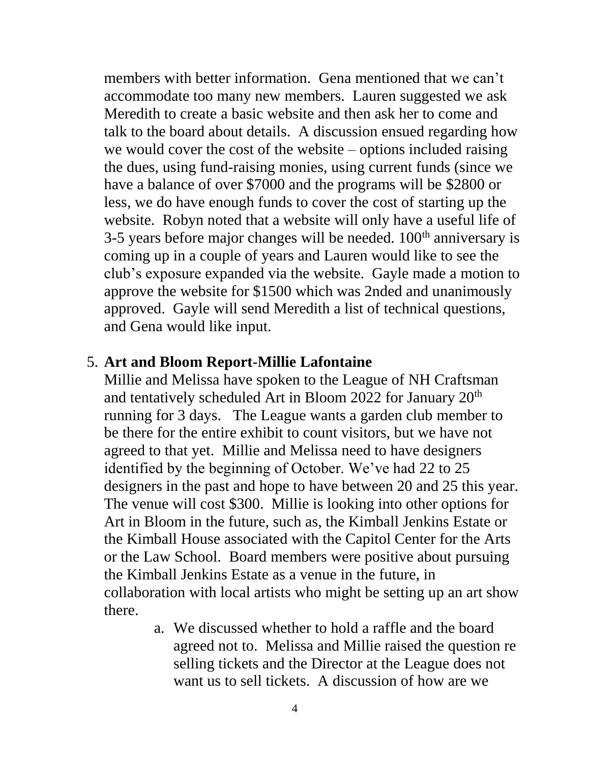members with better information. Gena mentioned that we can't accommodate too many new members. Lauren suggested we ask Meredith to create a basic website and then ask her to come and talk to the board about details. A discussion ensued regarding how we would cover the cost of the website – options included raising the dues, using fund-raising monies, using current funds (since we have a balance of over \$7000 and the programs will be \$2800 or less, we do have enough funds to cover the cost of starting up the website. Robyn noted that a website will only have a useful life of 3-5 years before major changes will be needed.  $100<sup>th</sup>$  anniversary is coming up in a couple of years and Lauren would like to see the club's exposure expanded via the website. Gayle made a motion to approve the website for \$1500 which was 2nded and unanimously approved. Gayle will send Meredith a list of technical questions, and Gena would like input.

## 5. **Art and Bloom Report**-**Millie Lafontaine**

Millie and Melissa have spoken to the League of NH Craftsman and tentatively scheduled Art in Bloom 2022 for January 20<sup>th</sup> running for 3 days. The League wants a garden club member to be there for the entire exhibit to count visitors, but we have not agreed to that yet. Millie and Melissa need to have designers identified by the beginning of October. We've had 22 to 25 designers in the past and hope to have between 20 and 25 this year. The venue will cost \$300. Millie is looking into other options for Art in Bloom in the future, such as, the Kimball Jenkins Estate or the Kimball House associated with the Capitol Center for the Arts or the Law School. Board members were positive about pursuing the Kimball Jenkins Estate as a venue in the future, in collaboration with local artists who might be setting up an art show there.

> a. We discussed whether to hold a raffle and the board agreed not to. Melissa and Millie raised the question re selling tickets and the Director at the League does not want us to sell tickets. A discussion of how are we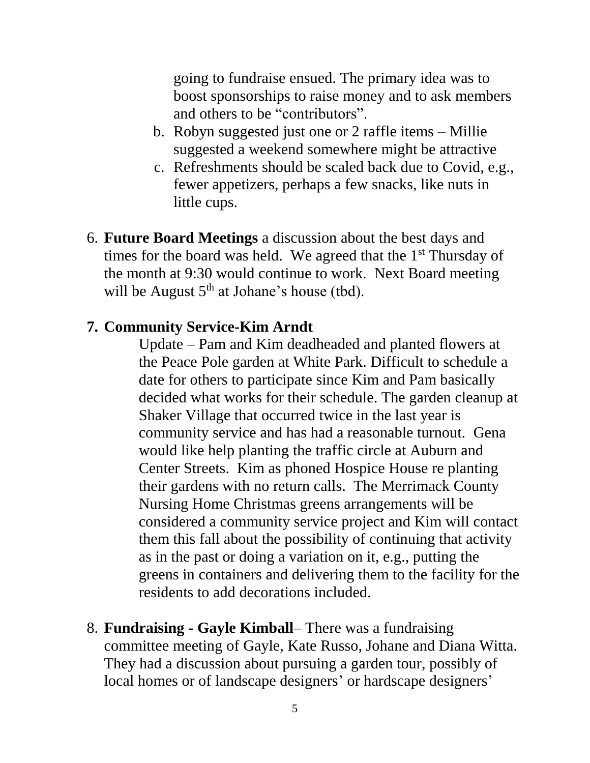going to fundraise ensued. The primary idea was to boost sponsorships to raise money and to ask members and others to be "contributors".

- b. Robyn suggested just one or 2 raffle items Millie suggested a weekend somewhere might be attractive
- c. Refreshments should be scaled back due to Covid, e.g., fewer appetizers, perhaps a few snacks, like nuts in little cups.
- 6. **Future Board Meetings** a discussion about the best days and times for the board was held. We agreed that the 1<sup>st</sup> Thursday of the month at 9:30 would continue to work. Next Board meeting will be August  $5<sup>th</sup>$  at Johane's house (tbd).

#### **7. Community Service-Kim Arndt**

Update – Pam and Kim deadheaded and planted flowers at the Peace Pole garden at White Park. Difficult to schedule a date for others to participate since Kim and Pam basically decided what works for their schedule. The garden cleanup at Shaker Village that occurred twice in the last year is community service and has had a reasonable turnout. Gena would like help planting the traffic circle at Auburn and Center Streets. Kim as phoned Hospice House re planting their gardens with no return calls. The Merrimack County Nursing Home Christmas greens arrangements will be considered a community service project and Kim will contact them this fall about the possibility of continuing that activity as in the past or doing a variation on it, e.g., putting the greens in containers and delivering them to the facility for the residents to add decorations included.

8. **Fundraising - Gayle Kimball**– There was a fundraising committee meeting of Gayle, Kate Russo, Johane and Diana Witta. They had a discussion about pursuing a garden tour, possibly of local homes or of landscape designers' or hardscape designers'